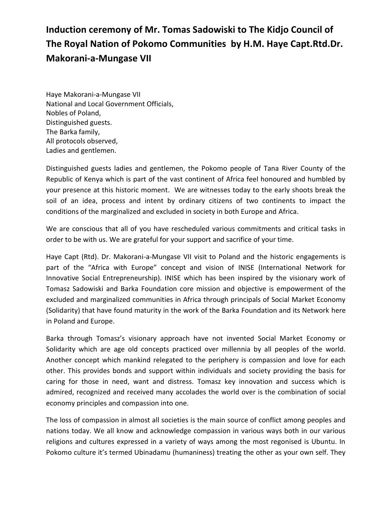## **Induction ceremony of Mr. Tomas Sadowiski to The Kidjo Council of The Royal Nation of Pokomo Communities by H.M. Haye Capt.Rtd.Dr. Makorani-a-Mungase VII**

Haye Makorani-a-Mungase VII National and Local Government Officials, Nobles of Poland, Distinguished guests. The Barka family, All protocols observed, Ladies and gentlemen.

Distinguished guests ladies and gentlemen, the Pokomo people of Tana River County of the Republic of Kenya which is part of the vast continent of Africa feel honoured and humbled by your presence at this historic moment. We are witnesses today to the early shoots break the soil of an idea, process and intent by ordinary citizens of two continents to impact the conditions of the marginalized and excluded in society in both Europe and Africa.

We are conscious that all of you have rescheduled various commitments and critical tasks in order to be with us. We are grateful for your support and sacrifice of your time.

Haye Capt (Rtd). Dr. Makorani-a-Mungase VII visit to Poland and the historic engagements is part of the "Africa with Europe" concept and vision of INISE (International Network for Innovative Social Entrepreneurship). INISE which has been inspired by the visionary work of Tomasz Sadowiski and Barka Foundation core mission and objective is empowerment of the excluded and marginalized communities in Africa through principals of Social Market Economy (Solidarity) that have found maturity in the work of the Barka Foundation and its Network here in Poland and Europe.

Barka through Tomasz's visionary approach have not invented Social Market Economy or Solidarity which are age old concepts practiced over millennia by all peoples of the world. Another concept which mankind relegated to the periphery is compassion and love for each other. This provides bonds and support within individuals and society providing the basis for caring for those in need, want and distress. Tomasz key innovation and success which is admired, recognized and received many accolades the world over is the combination of social economy principles and compassion into one.

The loss of compassion in almost all societies is the main source of conflict among peoples and nations today. We all know and acknowledge compassion in various ways both in our various religions and cultures expressed in a variety of ways among the most regonised is Ubuntu. In Pokomo culture it's termed Ubinadamu (humaniness) treating the other as your own self. They